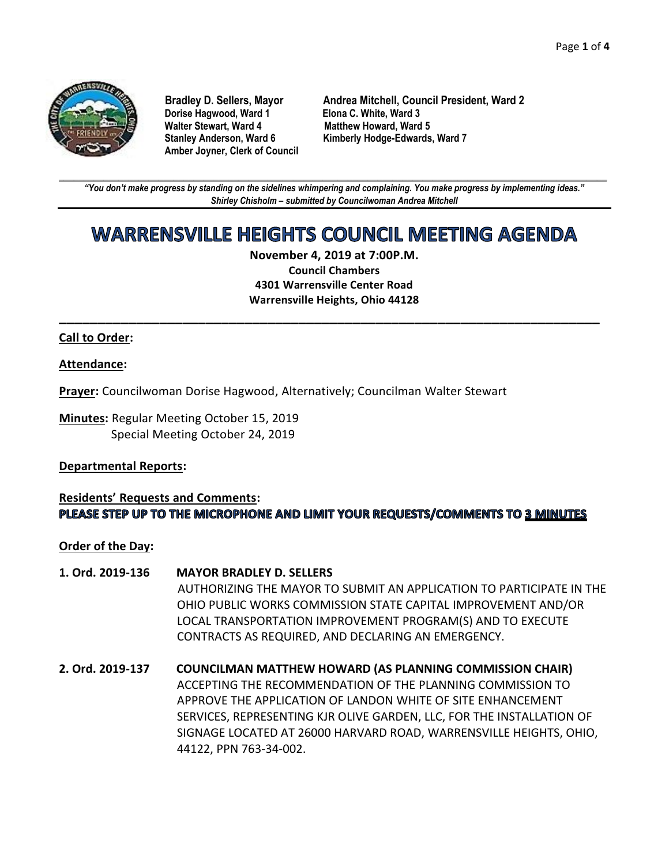

**Dorise Hagwood, Ward 1 Elona C. White, Ward 3 Amber Joyner, Clerk of Council**

**Bradley D. Sellers, Mayor Andrea Mitchell, Council President, Ward 2 Matthew Howard, Ward 5 Stanley Anderson, Ward 6 Kimberly Hodge-Edwards, Ward 7**

**\_\_\_\_\_\_\_\_\_\_\_\_\_\_\_\_\_\_\_\_\_\_\_\_\_\_\_\_\_\_\_\_\_\_\_\_\_\_\_\_\_\_\_\_\_\_\_\_\_\_\_\_\_\_\_\_\_\_\_\_\_\_\_\_\_\_\_\_\_\_\_\_\_\_\_\_\_\_\_\_\_\_\_\_\_\_\_\_\_\_\_\_\_\_\_\_\_\_\_\_\_\_\_\_\_\_\_\_\_\_** *"You don't make progress by standing on the sidelines whimpering and complaining. You make progress by implementing ideas." Shirley Chisholm – submitted by Councilwoman Andrea Mitchell*

# **WARRENSVILLE HEIGHTS COUNCIL MEETING AGENDA**

**November 4, 2019 at 7:00P.M. Council Chambers 4301 Warrensville Center Road Warrensville Heights, Ohio 44128**

**\_\_\_\_\_\_\_\_\_\_\_\_\_\_\_\_\_\_\_\_\_\_\_\_\_\_\_\_\_\_\_\_\_\_\_\_\_\_\_\_\_\_\_\_\_\_\_\_\_\_\_\_\_\_\_\_\_\_\_\_\_\_\_\_\_\_\_\_\_\_**

#### **Call to Order:**

#### **Attendance:**

**Prayer:** Councilwoman Dorise Hagwood, Alternatively; Councilman Walter Stewart

**Minutes:** Regular Meeting October 15, 2019 Special Meeting October 24, 2019

#### **Departmental Reports:**

#### **Residents' Requests and Comments:** PLEASE STEP UP TO THE MICROPHONE AND LIMIT YOUR REQUESTS/COMMENTS TO 3 MINUTES

#### **Order of the Day:**

- **1. Ord. 2019-136 MAYOR BRADLEY D. SELLERS** AUTHORIZING THE MAYOR TO SUBMIT AN APPLICATION TO PARTICIPATE IN THE OHIO PUBLIC WORKS COMMISSION STATE CAPITAL IMPROVEMENT AND/OR LOCAL TRANSPORTATION IMPROVEMENT PROGRAM(S) AND TO EXECUTE CONTRACTS AS REQUIRED, AND DECLARING AN EMERGENCY.
- **2. Ord. 2019-137 COUNCILMAN MATTHEW HOWARD (AS PLANNING COMMISSION CHAIR)** ACCEPTING THE RECOMMENDATION OF THE PLANNING COMMISSION TO APPROVE THE APPLICATION OF LANDON WHITE OF SITE ENHANCEMENT SERVICES, REPRESENTING KJR OLIVE GARDEN, LLC, FOR THE INSTALLATION OF SIGNAGE LOCATED AT 26000 HARVARD ROAD, WARRENSVILLE HEIGHTS, OHIO, 44122, PPN 763-34-002.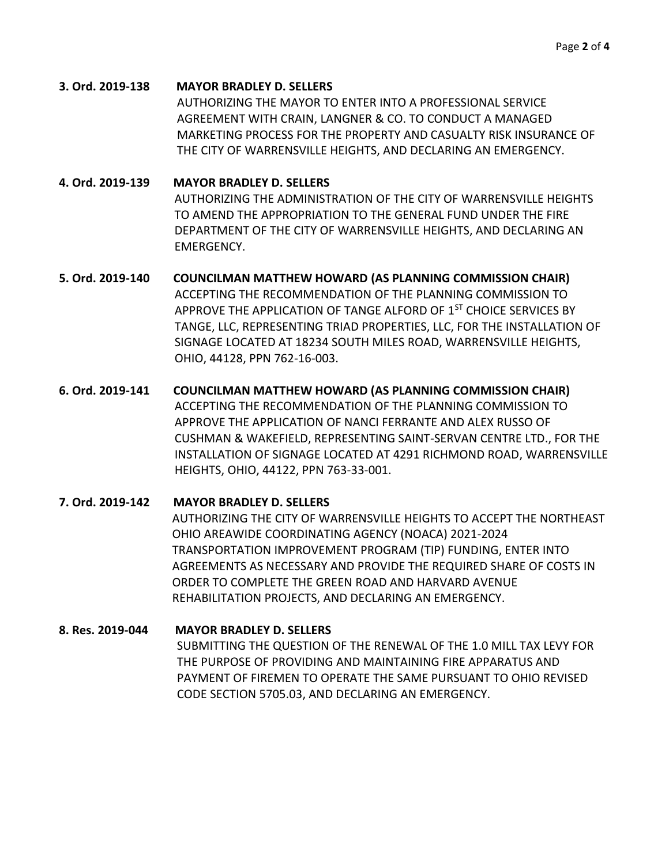**3. Ord. 2019-138 MAYOR BRADLEY D. SELLERS** AUTHORIZING THE MAYOR TO ENTER INTO A PROFESSIONAL SERVICE AGREEMENT WITH CRAIN, LANGNER & CO. TO CONDUCT A MANAGED MARKETING PROCESS FOR THE PROPERTY AND CASUALTY RISK INSURANCE OF THE CITY OF WARRENSVILLE HEIGHTS, AND DECLARING AN EMERGENCY.

**4. Ord. 2019-139 MAYOR BRADLEY D. SELLERS** AUTHORIZING THE ADMINISTRATION OF THE CITY OF WARRENSVILLE HEIGHTS TO AMEND THE APPROPRIATION TO THE GENERAL FUND UNDER THE FIRE DEPARTMENT OF THE CITY OF WARRENSVILLE HEIGHTS, AND DECLARING AN EMERGENCY.

- **5. Ord. 2019-140 COUNCILMAN MATTHEW HOWARD (AS PLANNING COMMISSION CHAIR)** ACCEPTING THE RECOMMENDATION OF THE PLANNING COMMISSION TO APPROVE THE APPLICATION OF TANGE ALFORD OF 1<sup>ST</sup> CHOICE SERVICES BY TANGE, LLC, REPRESENTING TRIAD PROPERTIES, LLC, FOR THE INSTALLATION OF SIGNAGE LOCATED AT 18234 SOUTH MILES ROAD, WARRENSVILLE HEIGHTS, OHIO, 44128, PPN 762-16-003.
- **6. Ord. 2019-141 COUNCILMAN MATTHEW HOWARD (AS PLANNING COMMISSION CHAIR)** ACCEPTING THE RECOMMENDATION OF THE PLANNING COMMISSION TO APPROVE THE APPLICATION OF NANCI FERRANTE AND ALEX RUSSO OF CUSHMAN & WAKEFIELD, REPRESENTING SAINT-SERVAN CENTRE LTD., FOR THE INSTALLATION OF SIGNAGE LOCATED AT 4291 RICHMOND ROAD, WARRENSVILLE HEIGHTS, OHIO, 44122, PPN 763-33-001.

**7. Ord. 2019-142 MAYOR BRADLEY D. SELLERS** AUTHORIZING THE CITY OF WARRENSVILLE HEIGHTS TO ACCEPT THE NORTHEAST OHIO AREAWIDE COORDINATING AGENCY (NOACA) 2021-2024 TRANSPORTATION IMPROVEMENT PROGRAM (TIP) FUNDING, ENTER INTO AGREEMENTS AS NECESSARY AND PROVIDE THE REQUIRED SHARE OF COSTS IN ORDER TO COMPLETE THE GREEN ROAD AND HARVARD AVENUE REHABILITATION PROJECTS, AND DECLARING AN EMERGENCY.

## **8. Res. 2019-044 MAYOR BRADLEY D. SELLERS**

SUBMITTING THE QUESTION OF THE RENEWAL OF THE 1.0 MILL TAX LEVY FOR THE PURPOSE OF PROVIDING AND MAINTAINING FIRE APPARATUS AND PAYMENT OF FIREMEN TO OPERATE THE SAME PURSUANT TO OHIO REVISED CODE SECTION 5705.03, AND DECLARING AN EMERGENCY.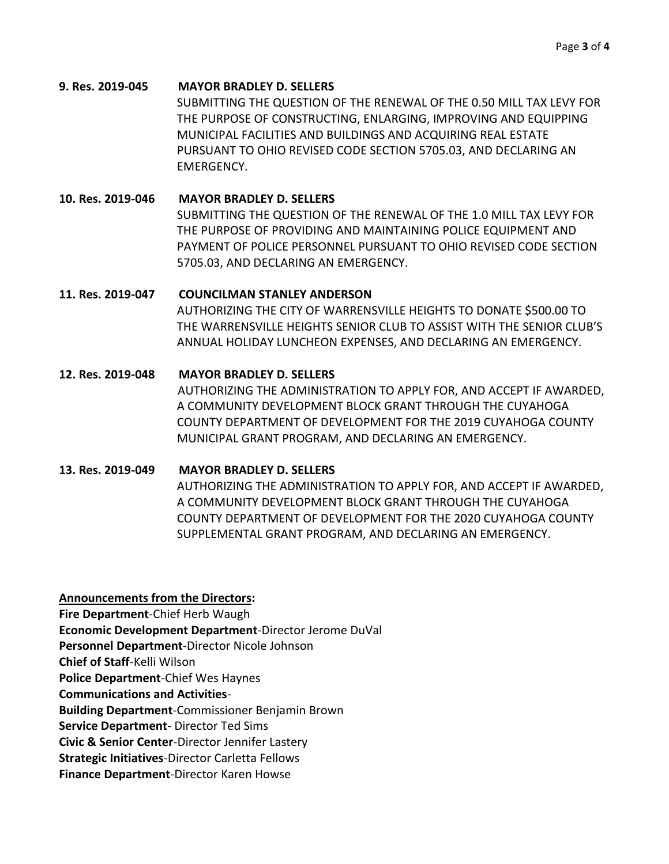## **9. Res. 2019-045 MAYOR BRADLEY D. SELLERS** SUBMITTING THE QUESTION OF THE RENEWAL OF THE 0.50 MILL TAX LEVY FOR THE PURPOSE OF CONSTRUCTING, ENLARGING, IMPROVING AND EQUIPPING MUNICIPAL FACILITIES AND BUILDINGS AND ACQUIRING REAL ESTATE PURSUANT TO OHIO REVISED CODE SECTION 5705.03, AND DECLARING AN EMERGENCY.

**10. Res. 2019-046 MAYOR BRADLEY D. SELLERS** SUBMITTING THE QUESTION OF THE RENEWAL OF THE 1.0 MILL TAX LEVY FOR THE PURPOSE OF PROVIDING AND MAINTAINING POLICE EQUIPMENT AND PAYMENT OF POLICE PERSONNEL PURSUANT TO OHIO REVISED CODE SECTION 5705.03, AND DECLARING AN EMERGENCY.

### **11. Res. 2019-047 COUNCILMAN STANLEY ANDERSON**

AUTHORIZING THE CITY OF WARRENSVILLE HEIGHTS TO DONATE \$500.00 TO THE WARRENSVILLE HEIGHTS SENIOR CLUB TO ASSIST WITH THE SENIOR CLUB'S ANNUAL HOLIDAY LUNCHEON EXPENSES, AND DECLARING AN EMERGENCY.

## **12. Res. 2019-048 MAYOR BRADLEY D. SELLERS**

AUTHORIZING THE ADMINISTRATION TO APPLY FOR, AND ACCEPT IF AWARDED, A COMMUNITY DEVELOPMENT BLOCK GRANT THROUGH THE CUYAHOGA COUNTY DEPARTMENT OF DEVELOPMENT FOR THE 2019 CUYAHOGA COUNTY MUNICIPAL GRANT PROGRAM, AND DECLARING AN EMERGENCY.

## **13. Res. 2019-049 MAYOR BRADLEY D. SELLERS**

AUTHORIZING THE ADMINISTRATION TO APPLY FOR, AND ACCEPT IF AWARDED, A COMMUNITY DEVELOPMENT BLOCK GRANT THROUGH THE CUYAHOGA COUNTY DEPARTMENT OF DEVELOPMENT FOR THE 2020 CUYAHOGA COUNTY SUPPLEMENTAL GRANT PROGRAM, AND DECLARING AN EMERGENCY.

**Announcements from the Directors:** 

**Fire Department**-Chief Herb Waugh

**Economic Development Department**-Director Jerome DuVal

**Personnel Department**-Director Nicole Johnson

**Chief of Staff**-Kelli Wilson

**Police Department**-Chief Wes Haynes

**Communications and Activities**-

**Building Department**-Commissioner Benjamin Brown

**Service Department**- Director Ted Sims

**Civic & Senior Center**-Director Jennifer Lastery

**Strategic Initiatives**-Director Carletta Fellows

**Finance Department**-Director Karen Howse